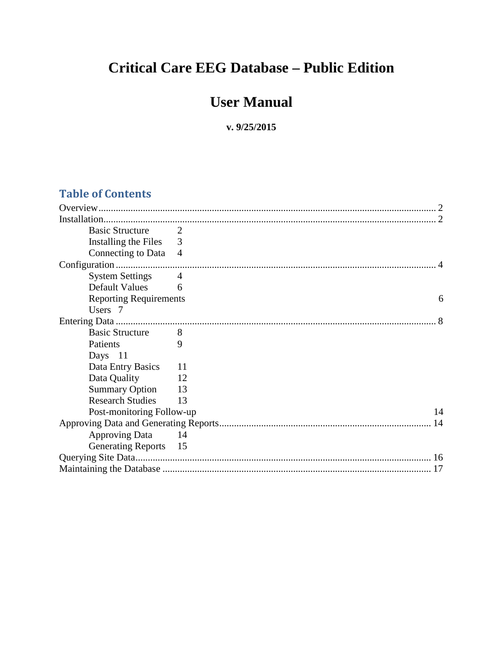# **Critical Care EEG Database – Public Edition**

# **User Manual**

#### **v. 9/25/2015**

### **Table of Contents**

| <b>Basic Structure</b><br>$\overline{\phantom{a}}$ |    |    |
|----------------------------------------------------|----|----|
| Installing the Files 3                             |    |    |
| Connecting to Data 4                               |    |    |
|                                                    |    |    |
| <b>System Settings</b>                             | 4  |    |
| Default Values                                     | 6  |    |
| <b>Reporting Requirements</b>                      |    | 6  |
| Users 7                                            |    |    |
|                                                    |    |    |
| <b>Basic Structure</b>                             | 8  |    |
| Patients                                           | 9  |    |
| Days 11                                            |    |    |
| Data Entry Basics                                  | 11 |    |
| Data Quality                                       | 12 |    |
| Summary Option 13                                  |    |    |
| <b>Research Studies</b>                            | 13 |    |
| Post-monitoring Follow-up                          |    | 14 |
|                                                    |    | 14 |
| <b>Approving Data</b><br>14                        |    |    |
| Generating Reports 15                              |    |    |
|                                                    |    |    |
|                                                    |    |    |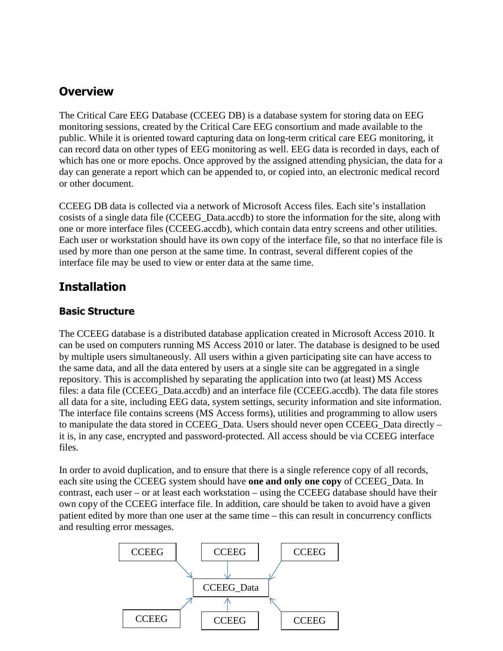### **Overview**

The Critical Care EEG Database (CCEEG DB) is a database system for storing data on EEG monitoring sessions, created by the Critical Care EEG consortium and made available to the public. While it is oriented toward capturing data on long-term critical care EEG monitoring, it can record data on other types of EEG monitoring as well. EEG data is recorded in days, each of which has one or more epochs. Once approved by the assigned attending physician, the data for a day can generate a report which can be appended to, or copied into, an electronic medical record or other document.

CCEEG DB data is collected via a network of Microsoft Access files. Each site's installation cosists of a single data file (CCEEG\_Data.accdb) to store the information for the site, along with one or more interface files (CCEEG.accdb), which contain data entry screens and other utilities. Each user or workstation should have its own copy of the interface file, so that no interface file is used by more than one person at the same time. In contrast, several different copies of the interface file may be used to view or enter data at the same time.

## **Installation**

#### **Basic Structure**

The CCEEG database is a distributed database application created in Microsoft Access 2010. It can be used on computers running MS Access 2010 or later. The database is designed to be used by multiple users simultaneously. All users within a given participating site can have access to the same data, and all the data entered by users at a single site can be aggregated in a single repository. This is accomplished by separating the application into two (at least) MS Access files: a data file (CCEEG\_Data.accdb) and an interface file (CCEEG.accdb). The data file stores all data for a site, including EEG data, system settings, security information and site information. The interface file contains screens (MS Access forms), utilities and programming to allow users to manipulate the data stored in CCEEG Data. Users should never open CCEEG Data directly – it is, in any case, encrypted and password-protected. All access should be via CCEEG interface files.

In order to avoid duplication, and to ensure that there is a single reference copy of all records, each site using the CCEEG system should have **one and only one copy** of CCEEG\_Data. In contrast, each user – or at least each workstation – using the CCEEG database should have their own copy of the CCEEG interface file. In addition, care should be taken to avoid have a given patient edited by more than one user at the same time – this can result in concurrency conflicts and resulting error messages.

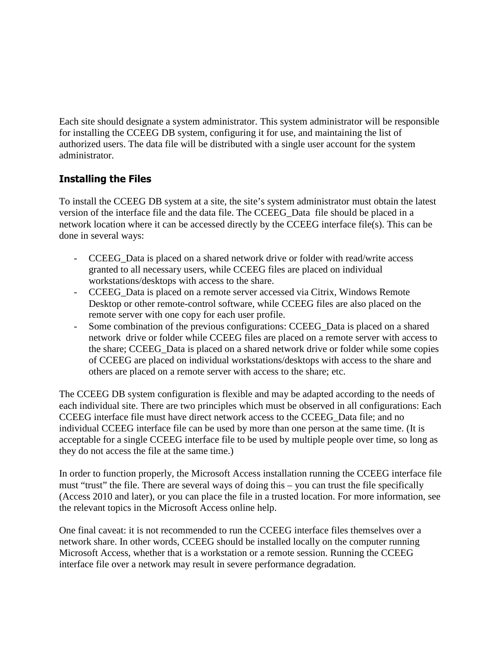Each site should designate a system administrator. This system administrator will be responsible for installing the CCEEG DB system, configuring it for use, and maintaining the list of authorized users. The data file will be distributed with a single user account for the system administrator.

#### **Installing the Files**

To install the CCEEG DB system at a site, the site's system administrator must obtain the latest version of the interface file and the data file. The CCEEG\_Data file should be placed in a network location where it can be accessed directly by the CCEEG interface file(s). This can be done in several ways:

- CCEEG Data is placed on a shared network drive or folder with read/write access granted to all necessary users, while CCEEG files are placed on individual workstations/desktops with access to the share.
- CCEEG Data is placed on a remote server accessed via Citrix, Windows Remote Desktop or other remote-control software, while CCEEG files are also placed on the remote server with one copy for each user profile.
- Some combination of the previous configurations: CCEEG Data is placed on a shared network drive or folder while CCEEG files are placed on a remote server with access to the share; CCEEG\_Data is placed on a shared network drive or folder while some copies of CCEEG are placed on individual workstations/desktops with access to the share and others are placed on a remote server with access to the share; etc.

The CCEEG DB system configuration is flexible and may be adapted according to the needs of each individual site. There are two principles which must be observed in all configurations: Each CCEEG interface file must have direct network access to the CCEEG\_Data file; and no individual CCEEG interface file can be used by more than one person at the same time. (It is acceptable for a single CCEEG interface file to be used by multiple people over time, so long as they do not access the file at the same time.)

In order to function properly, the Microsoft Access installation running the CCEEG interface file must "trust" the file. There are several ways of doing this – you can trust the file specifically (Access 2010 and later), or you can place the file in a trusted location. For more information, see the relevant topics in the Microsoft Access online help.

One final caveat: it is not recommended to run the CCEEG interface files themselves over a network share. In other words, CCEEG should be installed locally on the computer running Microsoft Access, whether that is a workstation or a remote session. Running the CCEEG interface file over a network may result in severe performance degradation.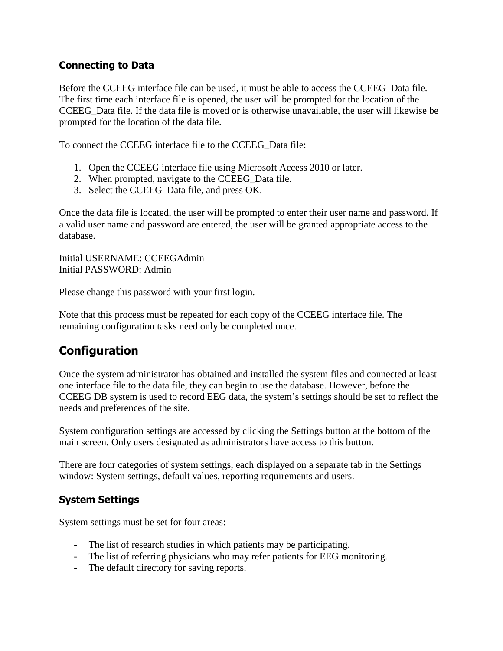#### **Connecting to Data**

Before the CCEEG interface file can be used, it must be able to access the CCEEG\_Data file. The first time each interface file is opened, the user will be prompted for the location of the CCEEG\_Data file. If the data file is moved or is otherwise unavailable, the user will likewise be prompted for the location of the data file.

To connect the CCEEG interface file to the CCEEG\_Data file:

- 1. Open the CCEEG interface file using Microsoft Access 2010 or later.
- 2. When prompted, navigate to the CCEEG\_Data file.
- 3. Select the CCEEG\_Data file, and press OK.

Once the data file is located, the user will be prompted to enter their user name and password. If a valid user name and password are entered, the user will be granted appropriate access to the database.

Initial USERNAME: CCEEGAdmin Initial PASSWORD: Admin

Please change this password with your first login.

Note that this process must be repeated for each copy of the CCEEG interface file. The remaining configuration tasks need only be completed once.

# **Configuration**

Once the system administrator has obtained and installed the system files and connected at least one interface file to the data file, they can begin to use the database. However, before the CCEEG DB system is used to record EEG data, the system's settings should be set to reflect the needs and preferences of the site.

System configuration settings are accessed by clicking the Settings button at the bottom of the main screen. Only users designated as administrators have access to this button.

There are four categories of system settings, each displayed on a separate tab in the Settings window: System settings, default values, reporting requirements and users.

#### **System Settings**

System settings must be set for four areas:

- The list of research studies in which patients may be participating.
- The list of referring physicians who may refer patients for EEG monitoring.
- The default directory for saving reports.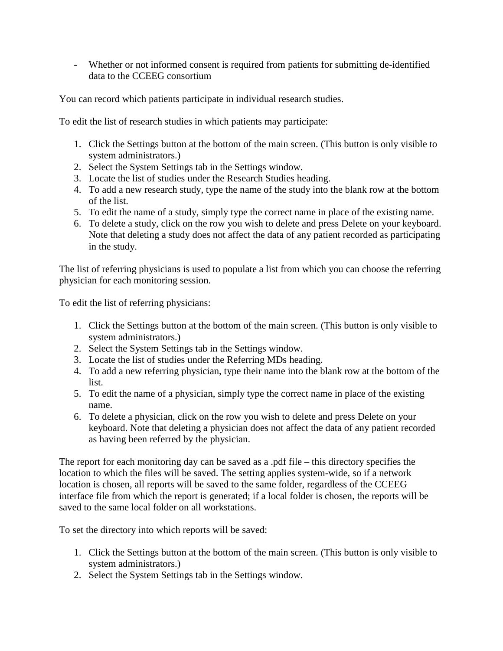- Whether or not informed consent is required from patients for submitting de-identified data to the CCEEG consortium

You can record which patients participate in individual research studies.

To edit the list of research studies in which patients may participate:

- 1. Click the Settings button at the bottom of the main screen. (This button is only visible to system administrators.)
- 2. Select the System Settings tab in the Settings window.
- 3. Locate the list of studies under the Research Studies heading.
- 4. To add a new research study, type the name of the study into the blank row at the bottom of the list.
- 5. To edit the name of a study, simply type the correct name in place of the existing name.
- 6. To delete a study, click on the row you wish to delete and press Delete on your keyboard. Note that deleting a study does not affect the data of any patient recorded as participating in the study.

The list of referring physicians is used to populate a list from which you can choose the referring physician for each monitoring session.

To edit the list of referring physicians:

- 1. Click the Settings button at the bottom of the main screen. (This button is only visible to system administrators.)
- 2. Select the System Settings tab in the Settings window.
- 3. Locate the list of studies under the Referring MDs heading.
- 4. To add a new referring physician, type their name into the blank row at the bottom of the list.
- 5. To edit the name of a physician, simply type the correct name in place of the existing name.
- 6. To delete a physician, click on the row you wish to delete and press Delete on your keyboard. Note that deleting a physician does not affect the data of any patient recorded as having been referred by the physician.

The report for each monitoring day can be saved as a .pdf file – this directory specifies the location to which the files will be saved. The setting applies system-wide, so if a network location is chosen, all reports will be saved to the same folder, regardless of the CCEEG interface file from which the report is generated; if a local folder is chosen, the reports will be saved to the same local folder on all workstations.

To set the directory into which reports will be saved:

- 1. Click the Settings button at the bottom of the main screen. (This button is only visible to system administrators.)
- 2. Select the System Settings tab in the Settings window.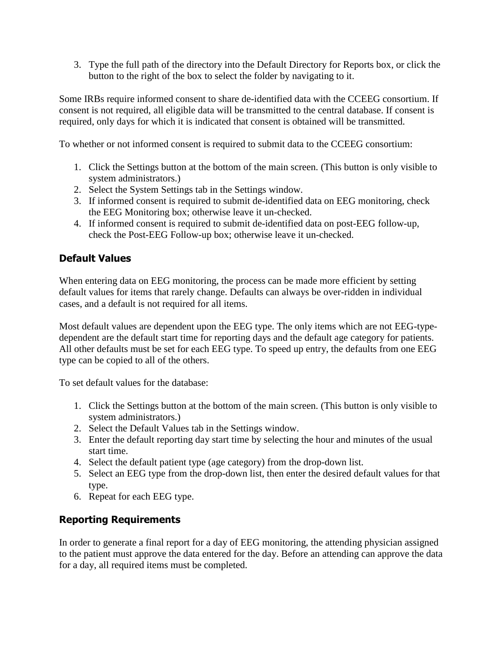3. Type the full path of the directory into the Default Directory for Reports box, or click the button to the right of the box to select the folder by navigating to it.

Some IRBs require informed consent to share de-identified data with the CCEEG consortium. If consent is not required, all eligible data will be transmitted to the central database. If consent is required, only days for which it is indicated that consent is obtained will be transmitted.

To whether or not informed consent is required to submit data to the CCEEG consortium:

- 1. Click the Settings button at the bottom of the main screen. (This button is only visible to system administrators.)
- 2. Select the System Settings tab in the Settings window.
- 3. If informed consent is required to submit de-identified data on EEG monitoring, check the EEG Monitoring box; otherwise leave it un-checked.
- 4. If informed consent is required to submit de-identified data on post-EEG follow-up, check the Post-EEG Follow-up box; otherwise leave it un-checked.

#### **Default Values**

When entering data on EEG monitoring, the process can be made more efficient by setting default values for items that rarely change. Defaults can always be over-ridden in individual cases, and a default is not required for all items.

Most default values are dependent upon the EEG type. The only items which are not EEG-typedependent are the default start time for reporting days and the default age category for patients. All other defaults must be set for each EEG type. To speed up entry, the defaults from one EEG type can be copied to all of the others.

To set default values for the database:

- 1. Click the Settings button at the bottom of the main screen. (This button is only visible to system administrators.)
- 2. Select the Default Values tab in the Settings window.
- 3. Enter the default reporting day start time by selecting the hour and minutes of the usual start time.
- 4. Select the default patient type (age category) from the drop-down list.
- 5. Select an EEG type from the drop-down list, then enter the desired default values for that type.
- 6. Repeat for each EEG type.

#### **Reporting Requirements**

In order to generate a final report for a day of EEG monitoring, the attending physician assigned to the patient must approve the data entered for the day. Before an attending can approve the data for a day, all required items must be completed.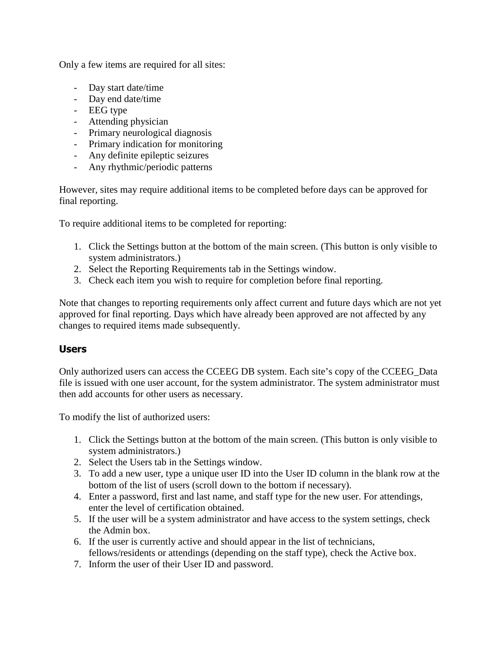Only a few items are required for all sites:

- Day start date/time
- Day end date/time
- EEG type
- Attending physician
- Primary neurological diagnosis
- Primary indication for monitoring
- Any definite epileptic seizures
- Any rhythmic/periodic patterns

However, sites may require additional items to be completed before days can be approved for final reporting.

To require additional items to be completed for reporting:

- 1. Click the Settings button at the bottom of the main screen. (This button is only visible to system administrators.)
- 2. Select the Reporting Requirements tab in the Settings window.
- 3. Check each item you wish to require for completion before final reporting.

Note that changes to reporting requirements only affect current and future days which are not yet approved for final reporting. Days which have already been approved are not affected by any changes to required items made subsequently.

#### **Users**

Only authorized users can access the CCEEG DB system. Each site's copy of the CCEEG\_Data file is issued with one user account, for the system administrator. The system administrator must then add accounts for other users as necessary.

To modify the list of authorized users:

- 1. Click the Settings button at the bottom of the main screen. (This button is only visible to system administrators.)
- 2. Select the Users tab in the Settings window.
- 3. To add a new user, type a unique user ID into the User ID column in the blank row at the bottom of the list of users (scroll down to the bottom if necessary).
- 4. Enter a password, first and last name, and staff type for the new user. For attendings, enter the level of certification obtained.
- 5. If the user will be a system administrator and have access to the system settings, check the Admin box.
- 6. If the user is currently active and should appear in the list of technicians, fellows/residents or attendings (depending on the staff type), check the Active box.
- 7. Inform the user of their User ID and password.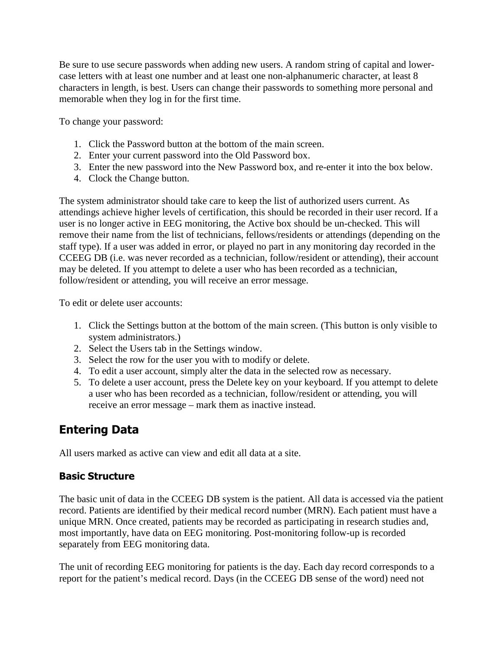Be sure to use secure passwords when adding new users. A random string of capital and lowercase letters with at least one number and at least one non-alphanumeric character, at least 8 characters in length, is best. Users can change their passwords to something more personal and memorable when they log in for the first time.

To change your password:

- 1. Click the Password button at the bottom of the main screen.
- 2. Enter your current password into the Old Password box.
- 3. Enter the new password into the New Password box, and re-enter it into the box below.
- 4. Clock the Change button.

The system administrator should take care to keep the list of authorized users current. As attendings achieve higher levels of certification, this should be recorded in their user record. If a user is no longer active in EEG monitoring, the Active box should be un-checked. This will remove their name from the list of technicians, fellows/residents or attendings (depending on the staff type). If a user was added in error, or played no part in any monitoring day recorded in the CCEEG DB (i.e. was never recorded as a technician, follow/resident or attending), their account may be deleted. If you attempt to delete a user who has been recorded as a technician, follow/resident or attending, you will receive an error message.

To edit or delete user accounts:

- 1. Click the Settings button at the bottom of the main screen. (This button is only visible to system administrators.)
- 2. Select the Users tab in the Settings window.
- 3. Select the row for the user you with to modify or delete.
- 4. To edit a user account, simply alter the data in the selected row as necessary.
- 5. To delete a user account, press the Delete key on your keyboard. If you attempt to delete a user who has been recorded as a technician, follow/resident or attending, you will receive an error message – mark them as inactive instead.

# **Entering Data**

All users marked as active can view and edit all data at a site.

#### **Basic Structure**

The basic unit of data in the CCEEG DB system is the patient. All data is accessed via the patient record. Patients are identified by their medical record number (MRN). Each patient must have a unique MRN. Once created, patients may be recorded as participating in research studies and, most importantly, have data on EEG monitoring. Post-monitoring follow-up is recorded separately from EEG monitoring data.

The unit of recording EEG monitoring for patients is the day. Each day record corresponds to a report for the patient's medical record. Days (in the CCEEG DB sense of the word) need not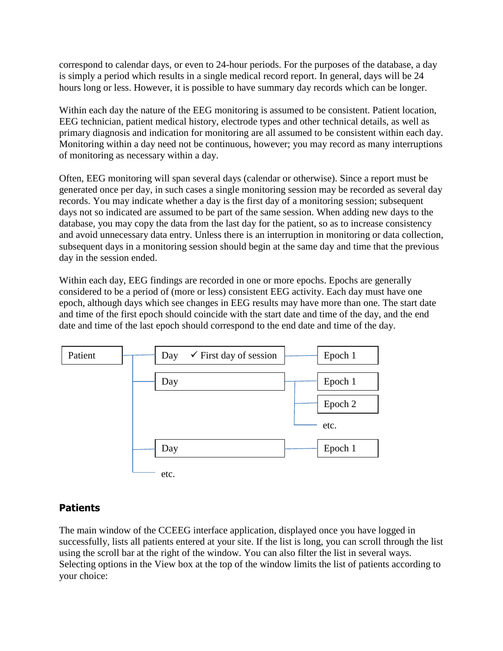correspond to calendar days, or even to 24-hour periods. For the purposes of the database, a day is simply a period which results in a single medical record report. In general, days will be 24 hours long or less. However, it is possible to have summary day records which can be longer.

Within each day the nature of the EEG monitoring is assumed to be consistent. Patient location, EEG technician, patient medical history, electrode types and other technical details, as well as primary diagnosis and indication for monitoring are all assumed to be consistent within each day. Monitoring within a day need not be continuous, however; you may record as many interruptions of monitoring as necessary within a day.

Often, EEG monitoring will span several days (calendar or otherwise). Since a report must be generated once per day, in such cases a single monitoring session may be recorded as several day records. You may indicate whether a day is the first day of a monitoring session; subsequent days not so indicated are assumed to be part of the same session. When adding new days to the database, you may copy the data from the last day for the patient, so as to increase consistency and avoid unnecessary data entry. Unless there is an interruption in monitoring or data collection, subsequent days in a monitoring session should begin at the same day and time that the previous day in the session ended.

Within each day, EEG findings are recorded in one or more epochs. Epochs are generally considered to be a period of (more or less) consistent EEG activity. Each day must have one epoch, although days which see changes in EEG results may have more than one. The start date and time of the first epoch should coincide with the start date and time of the day, and the end date and time of the last epoch should correspond to the end date and time of the day.



#### **Patients**

The main window of the CCEEG interface application, displayed once you have logged in successfully, lists all patients entered at your site. If the list is long, you can scroll through the list using the scroll bar at the right of the window. You can also filter the list in several ways. Selecting options in the View box at the top of the window limits the list of patients according to your choice: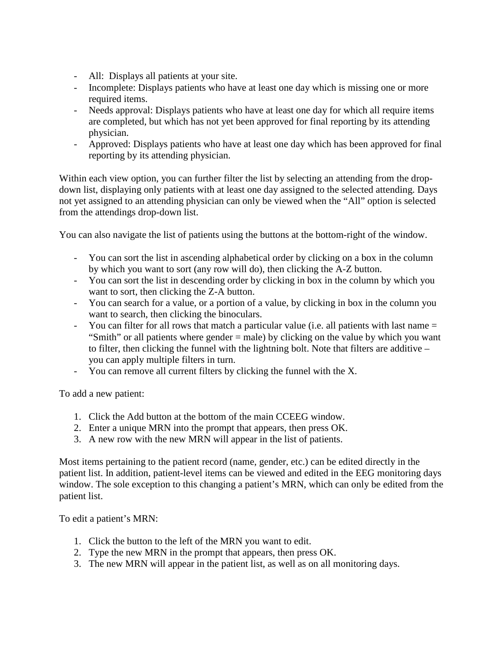- All: Displays all patients at your site.
- Incomplete: Displays patients who have at least one day which is missing one or more required items.
- Needs approval: Displays patients who have at least one day for which all require items are completed, but which has not yet been approved for final reporting by its attending physician.
- Approved: Displays patients who have at least one day which has been approved for final reporting by its attending physician.

Within each view option, you can further filter the list by selecting an attending from the dropdown list, displaying only patients with at least one day assigned to the selected attending. Days not yet assigned to an attending physician can only be viewed when the "All" option is selected from the attendings drop-down list.

You can also navigate the list of patients using the buttons at the bottom-right of the window.

- You can sort the list in ascending alphabetical order by clicking on a box in the column by which you want to sort (any row will do), then clicking the A-Z button.
- You can sort the list in descending order by clicking in box in the column by which you want to sort, then clicking the Z-A button.
- You can search for a value, or a portion of a value, by clicking in box in the column you want to search, then clicking the binoculars.
- You can filter for all rows that match a particular value (i.e. all patients with last name = "Smith" or all patients where gender = male) by clicking on the value by which you want to filter, then clicking the funnel with the lightning bolt. Note that filters are additive – you can apply multiple filters in turn.
- You can remove all current filters by clicking the funnel with the X.

To add a new patient:

- 1. Click the Add button at the bottom of the main CCEEG window.
- 2. Enter a unique MRN into the prompt that appears, then press OK.
- 3. A new row with the new MRN will appear in the list of patients.

Most items pertaining to the patient record (name, gender, etc.) can be edited directly in the patient list. In addition, patient-level items can be viewed and edited in the EEG monitoring days window. The sole exception to this changing a patient's MRN, which can only be edited from the patient list.

To edit a patient's MRN:

- 1. Click the button to the left of the MRN you want to edit.
- 2. Type the new MRN in the prompt that appears, then press OK.
- 3. The new MRN will appear in the patient list, as well as on all monitoring days.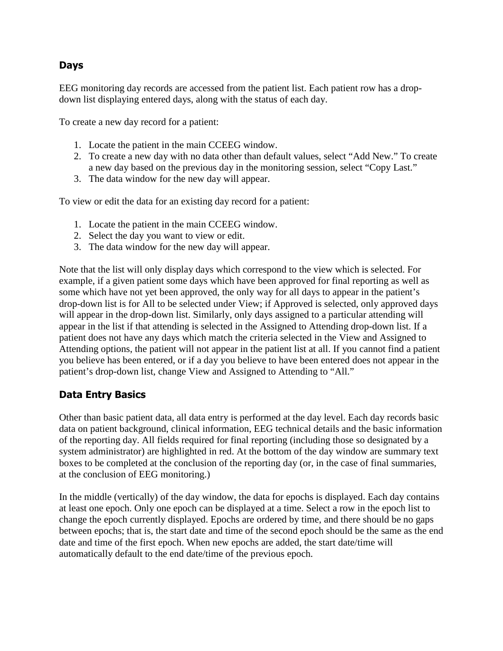#### **Days**

EEG monitoring day records are accessed from the patient list. Each patient row has a dropdown list displaying entered days, along with the status of each day.

To create a new day record for a patient:

- 1. Locate the patient in the main CCEEG window.
- 2. To create a new day with no data other than default values, select "Add New." To create a new day based on the previous day in the monitoring session, select "Copy Last."
- 3. The data window for the new day will appear.

To view or edit the data for an existing day record for a patient:

- 1. Locate the patient in the main CCEEG window.
- 2. Select the day you want to view or edit.
- 3. The data window for the new day will appear.

Note that the list will only display days which correspond to the view which is selected. For example, if a given patient some days which have been approved for final reporting as well as some which have not yet been approved, the only way for all days to appear in the patient's drop-down list is for All to be selected under View; if Approved is selected, only approved days will appear in the drop-down list. Similarly, only days assigned to a particular attending will appear in the list if that attending is selected in the Assigned to Attending drop-down list. If a patient does not have any days which match the criteria selected in the View and Assigned to Attending options, the patient will not appear in the patient list at all. If you cannot find a patient you believe has been entered, or if a day you believe to have been entered does not appear in the patient's drop-down list, change View and Assigned to Attending to "All."

#### **Data Entry Basics**

Other than basic patient data, all data entry is performed at the day level. Each day records basic data on patient background, clinical information, EEG technical details and the basic information of the reporting day. All fields required for final reporting (including those so designated by a system administrator) are highlighted in red. At the bottom of the day window are summary text boxes to be completed at the conclusion of the reporting day (or, in the case of final summaries, at the conclusion of EEG monitoring.)

In the middle (vertically) of the day window, the data for epochs is displayed. Each day contains at least one epoch. Only one epoch can be displayed at a time. Select a row in the epoch list to change the epoch currently displayed. Epochs are ordered by time, and there should be no gaps between epochs; that is, the start date and time of the second epoch should be the same as the end date and time of the first epoch. When new epochs are added, the start date/time will automatically default to the end date/time of the previous epoch.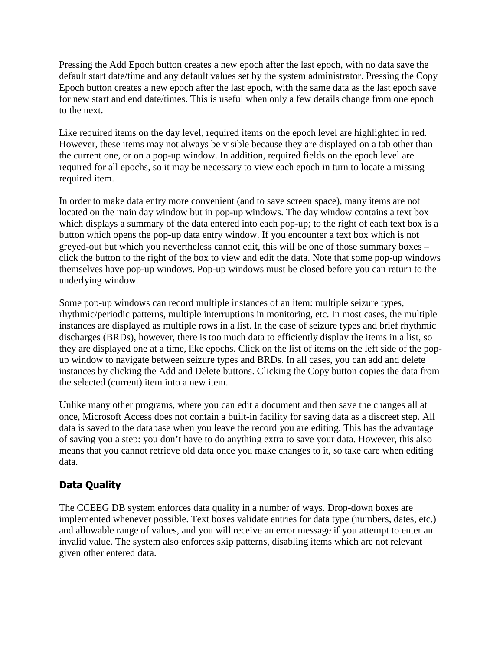Pressing the Add Epoch button creates a new epoch after the last epoch, with no data save the default start date/time and any default values set by the system administrator. Pressing the Copy Epoch button creates a new epoch after the last epoch, with the same data as the last epoch save for new start and end date/times. This is useful when only a few details change from one epoch to the next.

Like required items on the day level, required items on the epoch level are highlighted in red. However, these items may not always be visible because they are displayed on a tab other than the current one, or on a pop-up window. In addition, required fields on the epoch level are required for all epochs, so it may be necessary to view each epoch in turn to locate a missing required item.

In order to make data entry more convenient (and to save screen space), many items are not located on the main day window but in pop-up windows. The day window contains a text box which displays a summary of the data entered into each pop-up; to the right of each text box is a button which opens the pop-up data entry window. If you encounter a text box which is not greyed-out but which you nevertheless cannot edit, this will be one of those summary boxes – click the button to the right of the box to view and edit the data. Note that some pop-up windows themselves have pop-up windows. Pop-up windows must be closed before you can return to the underlying window.

Some pop-up windows can record multiple instances of an item: multiple seizure types, rhythmic/periodic patterns, multiple interruptions in monitoring, etc. In most cases, the multiple instances are displayed as multiple rows in a list. In the case of seizure types and brief rhythmic discharges (BRDs), however, there is too much data to efficiently display the items in a list, so they are displayed one at a time, like epochs. Click on the list of items on the left side of the popup window to navigate between seizure types and BRDs. In all cases, you can add and delete instances by clicking the Add and Delete buttons. Clicking the Copy button copies the data from the selected (current) item into a new item.

Unlike many other programs, where you can edit a document and then save the changes all at once, Microsoft Access does not contain a built-in facility for saving data as a discreet step. All data is saved to the database when you leave the record you are editing. This has the advantage of saving you a step: you don't have to do anything extra to save your data. However, this also means that you cannot retrieve old data once you make changes to it, so take care when editing data.

#### **Data Quality**

The CCEEG DB system enforces data quality in a number of ways. Drop-down boxes are implemented whenever possible. Text boxes validate entries for data type (numbers, dates, etc.) and allowable range of values, and you will receive an error message if you attempt to enter an invalid value. The system also enforces skip patterns, disabling items which are not relevant given other entered data.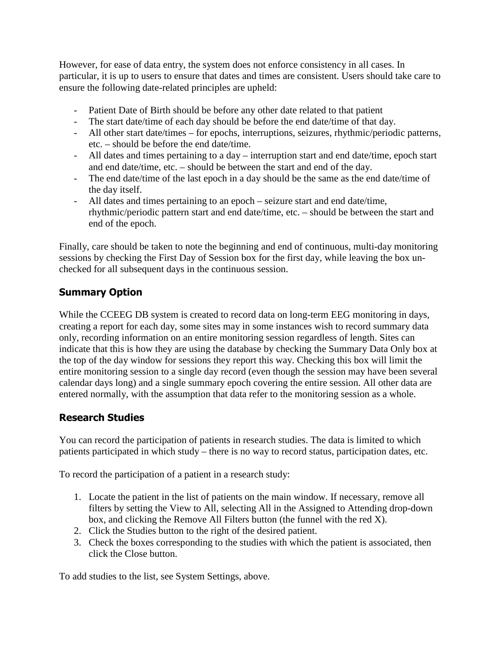However, for ease of data entry, the system does not enforce consistency in all cases. In particular, it is up to users to ensure that dates and times are consistent. Users should take care to ensure the following date-related principles are upheld:

- Patient Date of Birth should be before any other date related to that patient
- The start date/time of each day should be before the end date/time of that day.
- All other start date/times for epochs, interruptions, seizures, rhythmic/periodic patterns, etc. – should be before the end date/time.
- All dates and times pertaining to a day interruption start and end date/time, epoch start and end date/time, etc. – should be between the start and end of the day.
- The end date/time of the last epoch in a day should be the same as the end date/time of the day itself.
- All dates and times pertaining to an epoch seizure start and end date/time, rhythmic/periodic pattern start and end date/time, etc. – should be between the start and end of the epoch.

Finally, care should be taken to note the beginning and end of continuous, multi-day monitoring sessions by checking the First Day of Session box for the first day, while leaving the box unchecked for all subsequent days in the continuous session.

#### **Summary Option**

While the CCEEG DB system is created to record data on long-term EEG monitoring in days, creating a report for each day, some sites may in some instances wish to record summary data only, recording information on an entire monitoring session regardless of length. Sites can indicate that this is how they are using the database by checking the Summary Data Only box at the top of the day window for sessions they report this way. Checking this box will limit the entire monitoring session to a single day record (even though the session may have been several calendar days long) and a single summary epoch covering the entire session. All other data are entered normally, with the assumption that data refer to the monitoring session as a whole.

#### **Research Studies**

You can record the participation of patients in research studies. The data is limited to which patients participated in which study – there is no way to record status, participation dates, etc.

To record the participation of a patient in a research study:

- 1. Locate the patient in the list of patients on the main window. If necessary, remove all filters by setting the View to All, selecting All in the Assigned to Attending drop-down box, and clicking the Remove All Filters button (the funnel with the red X).
- 2. Click the Studies button to the right of the desired patient.
- 3. Check the boxes corresponding to the studies with which the patient is associated, then click the Close button.

To add studies to the list, see System Settings, above.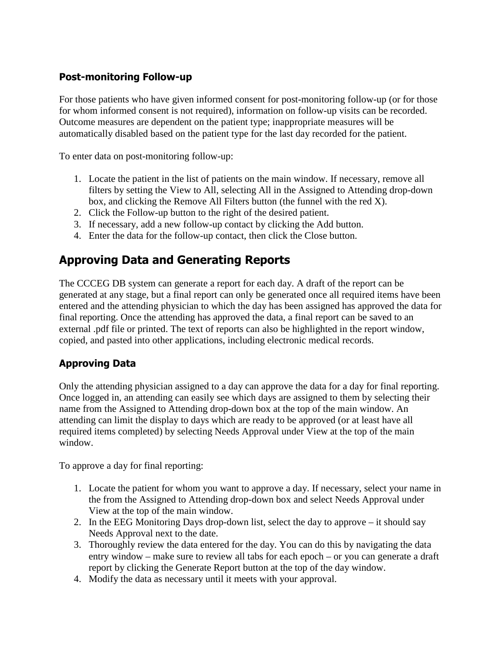#### **Post-monitoring Follow-up**

For those patients who have given informed consent for post-monitoring follow-up (or for those for whom informed consent is not required), information on follow-up visits can be recorded. Outcome measures are dependent on the patient type; inappropriate measures will be automatically disabled based on the patient type for the last day recorded for the patient.

To enter data on post-monitoring follow-up:

- 1. Locate the patient in the list of patients on the main window. If necessary, remove all filters by setting the View to All, selecting All in the Assigned to Attending drop-down box, and clicking the Remove All Filters button (the funnel with the red X).
- 2. Click the Follow-up button to the right of the desired patient.
- 3. If necessary, add a new follow-up contact by clicking the Add button.
- 4. Enter the data for the follow-up contact, then click the Close button.

## **Approving Data and Generating Reports**

The CCCEG DB system can generate a report for each day. A draft of the report can be generated at any stage, but a final report can only be generated once all required items have been entered and the attending physician to which the day has been assigned has approved the data for final reporting. Once the attending has approved the data, a final report can be saved to an external .pdf file or printed. The text of reports can also be highlighted in the report window, copied, and pasted into other applications, including electronic medical records.

#### **Approving Data**

Only the attending physician assigned to a day can approve the data for a day for final reporting. Once logged in, an attending can easily see which days are assigned to them by selecting their name from the Assigned to Attending drop-down box at the top of the main window. An attending can limit the display to days which are ready to be approved (or at least have all required items completed) by selecting Needs Approval under View at the top of the main window.

To approve a day for final reporting:

- 1. Locate the patient for whom you want to approve a day. If necessary, select your name in the from the Assigned to Attending drop-down box and select Needs Approval under View at the top of the main window.
- 2. In the EEG Monitoring Days drop-down list, select the day to approve it should say Needs Approval next to the date.
- 3. Thoroughly review the data entered for the day. You can do this by navigating the data entry window – make sure to review all tabs for each epoch – or you can generate a draft report by clicking the Generate Report button at the top of the day window.
- 4. Modify the data as necessary until it meets with your approval.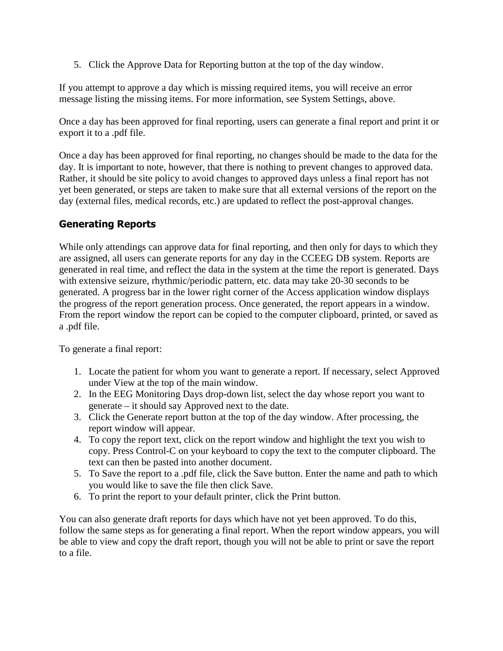5. Click the Approve Data for Reporting button at the top of the day window.

If you attempt to approve a day which is missing required items, you will receive an error message listing the missing items. For more information, see System Settings, above.

Once a day has been approved for final reporting, users can generate a final report and print it or export it to a .pdf file.

Once a day has been approved for final reporting, no changes should be made to the data for the day. It is important to note, however, that there is nothing to prevent changes to approved data. Rather, it should be site policy to avoid changes to approved days unless a final report has not yet been generated, or steps are taken to make sure that all external versions of the report on the day (external files, medical records, etc.) are updated to reflect the post-approval changes.

#### **Generating Reports**

While only attendings can approve data for final reporting, and then only for days to which they are assigned, all users can generate reports for any day in the CCEEG DB system. Reports are generated in real time, and reflect the data in the system at the time the report is generated. Days with extensive seizure, rhythmic/periodic pattern, etc. data may take 20-30 seconds to be generated. A progress bar in the lower right corner of the Access application window displays the progress of the report generation process. Once generated, the report appears in a window. From the report window the report can be copied to the computer clipboard, printed, or saved as a .pdf file.

To generate a final report:

- 1. Locate the patient for whom you want to generate a report. If necessary, select Approved under View at the top of the main window.
- 2. In the EEG Monitoring Days drop-down list, select the day whose report you want to generate – it should say Approved next to the date.
- 3. Click the Generate report button at the top of the day window. After processing, the report window will appear.
- 4. To copy the report text, click on the report window and highlight the text you wish to copy. Press Control-C on your keyboard to copy the text to the computer clipboard. The text can then be pasted into another document.
- 5. To Save the report to a .pdf file, click the Save button. Enter the name and path to which you would like to save the file then click Save.
- 6. To print the report to your default printer, click the Print button.

You can also generate draft reports for days which have not yet been approved. To do this, follow the same steps as for generating a final report. When the report window appears, you will be able to view and copy the draft report, though you will not be able to print or save the report to a file.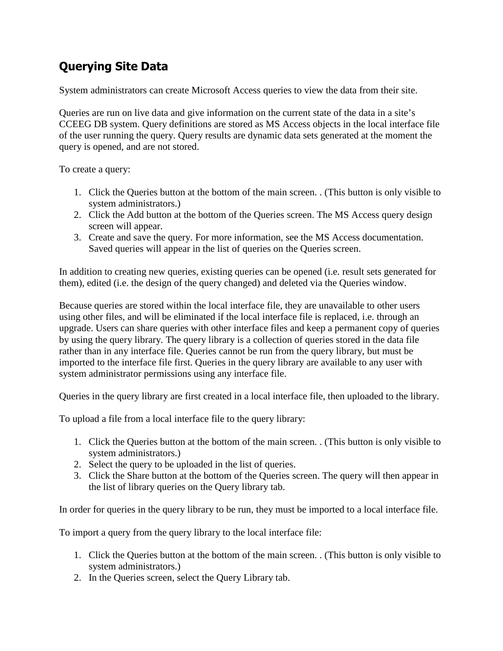# **Querying Site Data**

System administrators can create Microsoft Access queries to view the data from their site.

Queries are run on live data and give information on the current state of the data in a site's CCEEG DB system. Query definitions are stored as MS Access objects in the local interface file of the user running the query. Query results are dynamic data sets generated at the moment the query is opened, and are not stored.

To create a query:

- 1. Click the Queries button at the bottom of the main screen. . (This button is only visible to system administrators.)
- 2. Click the Add button at the bottom of the Queries screen. The MS Access query design screen will appear.
- 3. Create and save the query. For more information, see the MS Access documentation. Saved queries will appear in the list of queries on the Queries screen.

In addition to creating new queries, existing queries can be opened (i.e. result sets generated for them), edited (i.e. the design of the query changed) and deleted via the Queries window.

Because queries are stored within the local interface file, they are unavailable to other users using other files, and will be eliminated if the local interface file is replaced, i.e. through an upgrade. Users can share queries with other interface files and keep a permanent copy of queries by using the query library. The query library is a collection of queries stored in the data file rather than in any interface file. Queries cannot be run from the query library, but must be imported to the interface file first. Queries in the query library are available to any user with system administrator permissions using any interface file.

Queries in the query library are first created in a local interface file, then uploaded to the library.

To upload a file from a local interface file to the query library:

- 1. Click the Queries button at the bottom of the main screen. . (This button is only visible to system administrators.)
- 2. Select the query to be uploaded in the list of queries.
- 3. Click the Share button at the bottom of the Queries screen. The query will then appear in the list of library queries on the Query library tab.

In order for queries in the query library to be run, they must be imported to a local interface file.

To import a query from the query library to the local interface file:

- 1. Click the Queries button at the bottom of the main screen. . (This button is only visible to system administrators.)
- 2. In the Queries screen, select the Query Library tab.